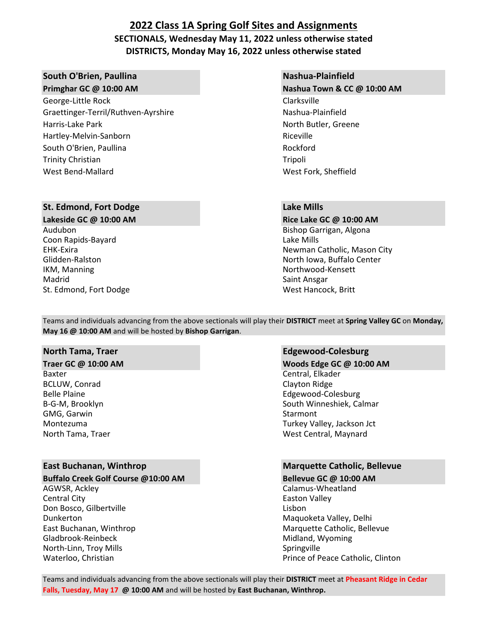## **2022 Class 1A Spring Golf Sites and Assignments SECTIONALS, Wednesday May 11, 2022 unless otherwise stated DISTRICTS, Monday May 16, 2022 unless otherwise stated**

### **South O'Brien, Paullina Nashua-Plainfield Nashua-Plainfield**

George-Little Rock Clarksville Graettinger-Terril/Ruthven-Ayrshire Mashua-Plainfield Harris-Lake Park North Butler, Greene North Butler, Greene Hartley-Melvin-Sanborn Riceville South O'Brien, Paullina Rockford Trinity Christian Trinity Christian Trinity Christian Trinity Christian Trinity Christian Trinity Christian Trinity Christian Trinity Christian Trinity Christian Trinity Christian Trinity Christian Trinity Christian Trinit West Bend-Mallard West Fork, Sheffield

### **St. Edmond, Fort Dodge Lake Mills**

Audubon Bishop Garrigan, Algona Coon Rapids-Bayard **Lake Mills** Coon Rapids-Bayard IKM, Manning **Northwood-Kensett**<br>
Madrid **Northwood-Kensett**<br>
Saint Ansgar St. Edmond, Fort Dodge New York 1998, 2008, 2009, 2008, 2012 West Hancock, Britt

**Primghar GC @ 10:00 AM Nashua Town & CC @ 10:00 AM**

**Lakeside GC @ 10:00 AM Rice Lake GC @ 10:00 AM**  EHK-Exira Newman Catholic, Mason City Glidden-Ralston North Iowa, Buffalo Center Saint Ansgar

Teams and individuals advancing from the above sectionals will play their **DISTRICT** meet at **Spring Valley GC** on **Monday, May 16 @ 10:00 AM** and will be hosted by **Bishop Garrigan**.

Baxter Central, Elkader Central, Elkader Central, Elkader Central, Elkader Central, Elkader BCLUW, Conrad Clayton Ridge GMG, Garwin Starmont Communication of the Starmont Starmont Starmont Starmont Starmont Starmont Starmont Starmont Starmont Starmont Starmont Starmont Starmont Starmont Starmont Starmont Starmont Starmont Starmont Starmont

### **Buffalo Creek Golf Course @10:00 AM Bellevue GC @ 10:00 AM**

AGWSR, Ackley **Calamus-Wheatland Central City Easton Valley** Don Bosco, Gilbertville **Lisbon** Dunkerton **Maguoketa Valley, Delhi** Maguoketa Valley, Delhi Gladbrook-Reinbeck **Midland, Wyoming** Gladbrook-Reinbeck North-Linn, Troy Mills **Springville** Springville

### **North Tama, Traer Edgewood-Colesburg**

**Traer GC @ 10:00 AM Woods Edge GC @ 10:00 AM** Belle Plaine **Edgewood-Colesburg Edgewood-Colesburg** B-G-M, Brooklyn South Winneshiek, Calmar Montezuma Turkey Valley, Jackson Jct North Tama, Traer West Central, Maynard

### **East Buchanan, Winthrop Marquette Catholic, Bellevue**

East Buchanan, Winthrop Marquette Catholic, Bellevue Waterloo, Christian **Prince of Peace Catholic, Clinton** Prince of Peace Catholic, Clinton

Teams and individuals advancing from the above sectionals will play their **DISTRICT** meet at **Pheasant Ridge in Cedar Falls, Tuesday, May 17 @ 10:00 AM** and will be hosted by **East Buchanan, Winthrop.**